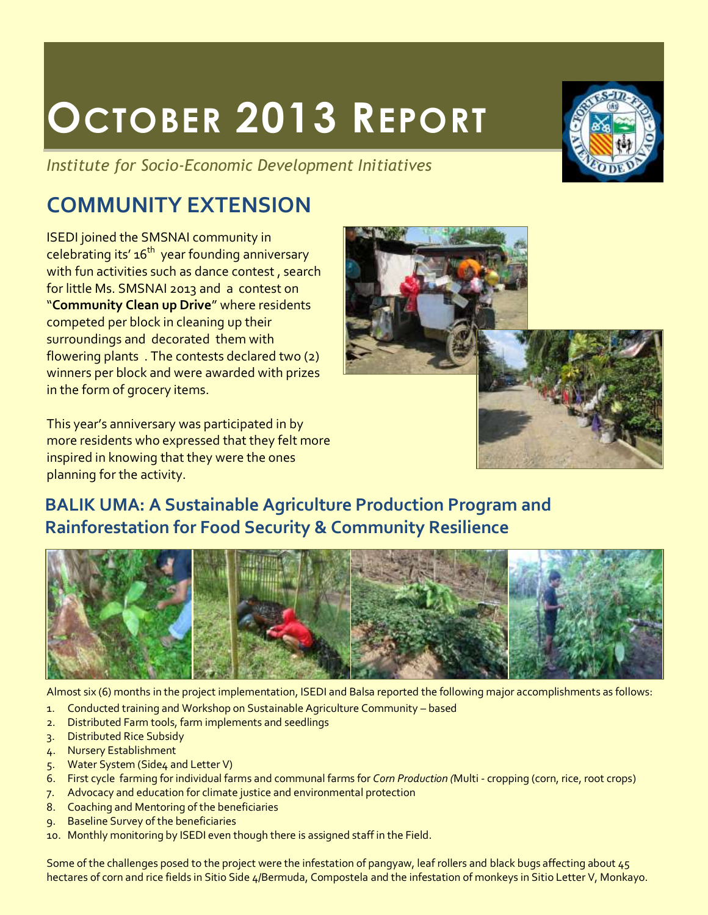# **OCTOBER 2013 REPORT**

*Institute for Socio-Economic Development Initiatives*

# **COMMUNITY EXTENSION**

ISEDI joined the SMSNAI community in celebrating its'  $16<sup>th</sup>$  year founding anniversary with fun activities such as dance contest, search for little Ms. SMSNAI 2013 and a contest on "**Community Clean up Drive**" where residents competed per block in cleaning up their surroundings and decorated them with flowering plants . The contests declared two (2) winners per block and were awarded with prizes in the form of grocery items.

This year's anniversary was participated in by more residents who expressed that they felt more inspired in knowing that they were the ones planning for the activity.

## **BALIK UMA: A Sustainable Agriculture Production Program and Rainforestation for Food Security & Community Resilience**



Almost six (6) months in the project implementation, ISEDI and Balsa reported the following major accomplishments as follows:

- 1. Conducted training and Workshop on Sustainable Agriculture Community based
- 2. Distributed Farm tools, farm implements and seedlings
- 3. Distributed Rice Subsidy
- 4. Nursery Establishment
- 5. Water System (Side4 and Letter V)
- 6. First cycle farming for individual farms and communal farms for *Corn Production (*Multi cropping (corn, rice, root crops)
- 7. Advocacy and education for climate justice and environmental protection
- 8. Coaching and Mentoring of the beneficiaries
- 9. Baseline Survey of the beneficiaries
- 10. Monthly monitoring by ISEDI even though there is assigned staff in the Field.

Some of the challenges posed to the project were the infestation of pangyaw, leaf rollers and black bugs affecting about 45 hectares of corn and rice fields in Sitio Side 4/Bermuda, Compostela and the infestation of monkeys in Sitio Letter V, Monkayo.



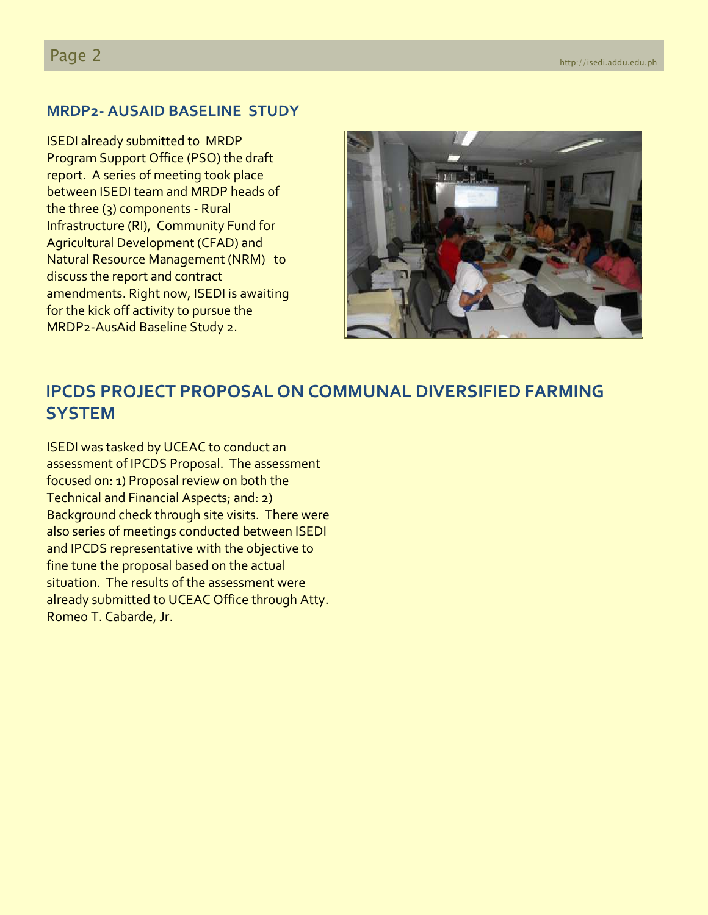#### **MRDP2- AUSAID BASELINE STUDY**

ISEDI already submitted to MRDP Program Support Office (PSO) the draft report. A series of meeting took place between ISEDI team and MRDP heads of the three (3) components - Rural Infrastructure (RI), Community Fund for Agricultural Development (CFAD) and Natural Resource Management (NRM) to discuss the report and contract amendments. Right now, ISEDI is awaiting for the kick off activity to pursue the MRDP2-AusAid Baseline Study 2.



### **IPCDS PROJECT PROPOSAL ON COMMUNAL DIVERSIFIED FARMING SYSTEM**

ISEDI was tasked by UCEAC to conduct an assessment of IPCDS Proposal. The assessment focused on: 1) Proposal review on both the Technical and Financial Aspects; and: 2) Background check through site visits. There were also series of meetings conducted between ISEDI and IPCDS representative with the objective to fine tune the proposal based on the actual situation. The results of the assessment were already submitted to UCEAC Office through Atty. Romeo T. Cabarde, Jr.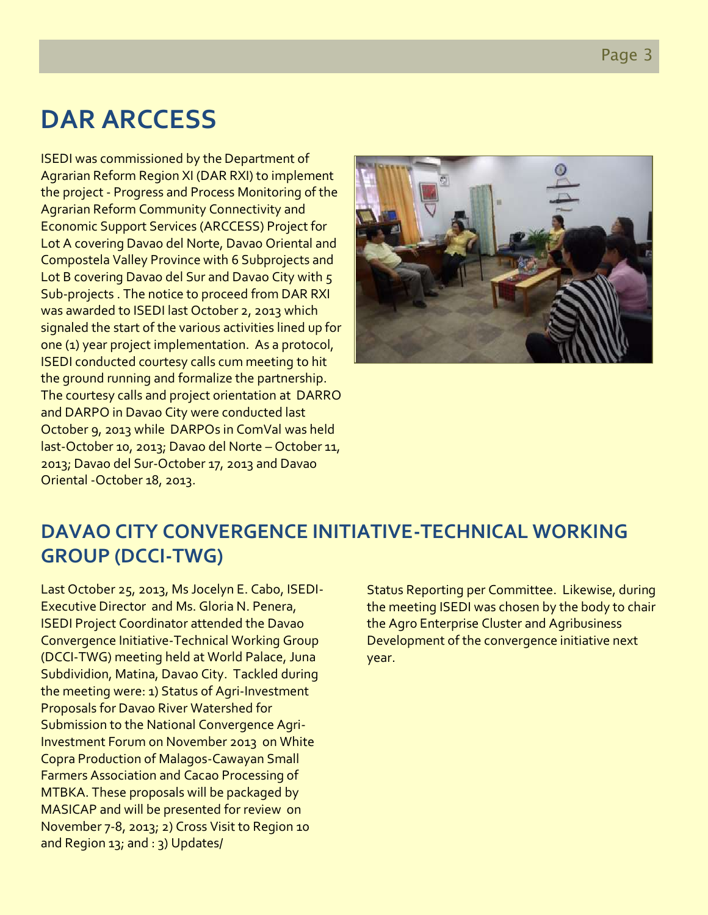Page 3

# **DAR ARCCESS**

ISEDI was commissioned by the Department of Agrarian Reform Region XI (DAR RXI) to implement the project - Progress and Process Monitoring of the Agrarian Reform Community Connectivity and Economic Support Services (ARCCESS) Project for Lot A covering Davao del Norte, Davao Oriental and Compostela Valley Province with 6 Subprojects and Lot B covering Davao del Sur and Davao City with 5 Sub-projects . The notice to proceed from DAR RXI was awarded to ISEDI last October 2, 2013 which signaled the start of the various activities lined up for one (1) year project implementation. As a protocol, ISEDI conducted courtesy calls cum meeting to hit the ground running and formalize the partnership. The courtesy calls and project orientation at DARRO and DARPO in Davao City were conducted last October 9, 2013 while DARPOs in ComVal was held last-October 10, 2013; Davao del Norte – October 11, 2013; Davao del Sur-October 17, 2013 and Davao Oriental -October 18, 2013.



## **DAVAO CITY CONVERGENCE INITIATIVE-TECHNICAL WORKING GROUP (DCCI-TWG)**

Last October 25, 2013, Ms Jocelyn E. Cabo, ISEDI-Executive Director and Ms. Gloria N. Penera, ISEDI Project Coordinator attended the Davao Convergence Initiative-Technical Working Group (DCCI-TWG) meeting held at World Palace, Juna Subdividion, Matina, Davao City. Tackled during the meeting were: 1) Status of Agri-Investment Proposals for Davao River Watershed for Submission to the National Convergence Agri-Investment Forum on November 2013 on White Copra Production of Malagos-Cawayan Small Farmers Association and Cacao Processing of MTBKA. These proposals will be packaged by MASICAP and will be presented for review on November 7-8, 2013; 2) Cross Visit to Region 10 and Region 13; and : 3) Updates/

Status Reporting per Committee. Likewise, during the meeting ISEDI was chosen by the body to chair the Agro Enterprise Cluster and Agribusiness Development of the convergence initiative next year.